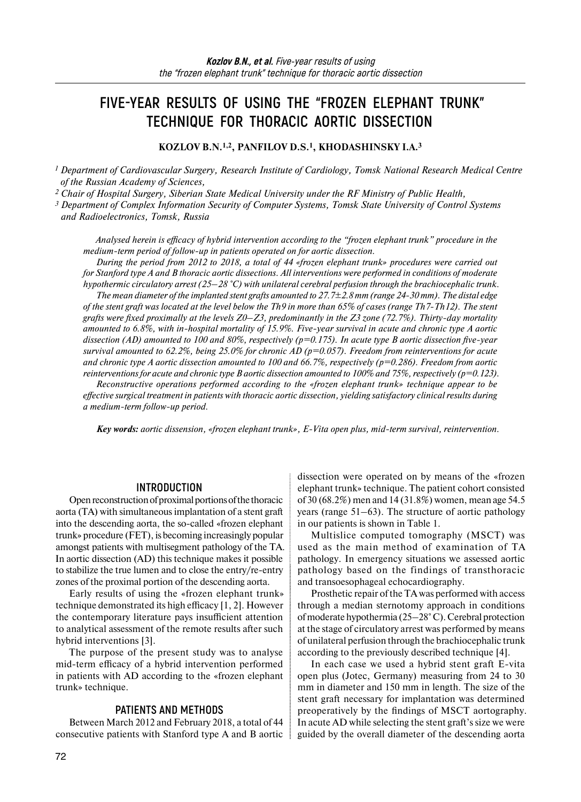# **FIVE-YEAR RESULTS OF USING THE "FROZEN ELEPHANT TRUNK" TECHNIQUE FOR THORACIC AORTIC DISSECTION**

**KOZLOV B.N.1,2, PANFILOV D.S.1, KHODASHINSKY I.A.3**

*<sup>1</sup> Department of Cardiovascular Surgery, Research Institute of Cardiology, Tomsk National Research Medical Centre of the Russian Academy of Sciences,* 

*2 Chair of Hospital Surgery, Siberian State Medical University under the RF Ministry of Public Health,* 

*<sup>3</sup> Department of Complex Information Security of Computer Systems, Tomsk State University of Control Systems and Radioelectronics, Tomsk, Russia* 

*Analysed herein is efficacy of hybrid intervention according to the "frozen elephant trunk" procedure in the medium-term period of follow-up in patients operated on for aortic dissection.* 

*During the period from 2012 to 2018, a total of 44 «frozen elephant trunk» procedures were carried out for Stanford type A and B thoracic aortic dissections. All interventions were performed in conditions of moderate hypothermic circulatory arrest (25–28 °C) with unilateral cerebral perfusion through the brachiocephalic trunk. The mean diameter of the implanted stent grafts amounted to 27.7±2.8 mm (range 24-30 mm). The distal edge of the stent graft was located at the level below the Th9 in more than 65% of cases (range Th7-Th12). The stent grafts were fixed proximally at the levels Z0–Z3, predominantly in the Z3 zone (72.7%). Thirty-day mortality amounted to 6.8%, with in-hospital mortality of 15.9%. Five-year survival in acute and chronic type A aortic dissection (AD) amounted to 100 and 80%, respectively (p=0.175). In acute type B aortic dissection five-year survival amounted to 62.2%, being 25.0% for chronic AD (p=0.057). Freedom from reinterventions for acute and chronic type A aortic dissection amounted to 100 and 66.7%, respectively (p=0.286). Freedom from aortic reinterventions for acute and chronic type B aortic dissection amounted to 100% and 75%, respectively (p=0.123). Reconstructive operations performed according to the «frozen elephant trunk» technique appear to be effective surgical treatment in patients with thoracic aortic dissection, yielding satisfactory clinical results during* 

*a medium-term follow-up period.* 

*Key words: aortic dissension, «frozen elephant trunk», E-Vita open plus, mid-term survival, reintervention.* 

#### **INTRODUCTION**

Open reconstruction of proximal portions of the thoracic aorta (TA) with simultaneous implantation of a stent graft into the descending aorta, the so-called «frozen elephant trunk» procedure (FET), is becoming increasingly popular amongst patients with multisegment pathology of the TA. In aortic dissection (AD) this technique makes it possible to stabilize the true lumen and to close the entry/re-entry zones of the proximal portion of the descending aorta.

Early results of using the «frozen elephant trunk» technique demonstrated its high efficacy [1, 2]. However the contemporary literature pays insufficient attention to analytical assessment of the remote results after such hybrid interventions [3].

The purpose of the present study was to analyse mid-term efficacy of a hybrid intervention performed in patients with AD according to the «frozen elephant trunk» technique.

### **PATIENTS AND METHODS**

Between March 2012 and February 2018, a total of 44 consecutive patients with Stanford type A and B aortic

dissection were operated on by means of the «frozen elephant trunk» technique. The patient cohort consisted of 30 (68.2%) men and 14 (31.8%) women, mean age 54.5 years (range 51–63). The structure of aortic pathology in our patients is shown in Table 1.

Multislice computed tomography (MSCT) was used as the main method of examination of TA pathology. In emergency situations we assessed aortic pathology based on the findings of transthoracic and transoesophageal echocardiography.

Prosthetic repair of the TA was performed with access through a median sternotomy approach in conditions ofmoderate hypothermia (25–28° C). Cerebral protection at the stage of circulatory arrest was performed by means of unilateral perfusion through the brachiocephalic trunk according to the previously described technique [4].

In each case we used a hybrid stent graft E-vita open plus (Jotec, Germany) measuring from 24 to 30 mm in diameter and 150 mm in length. The size of the stent graft necessary for implantation was determined preoperatively by the findings of MSCT aortography. In acute AD while selecting the stent graft's size we were guided by the overall diameter of the descending aorta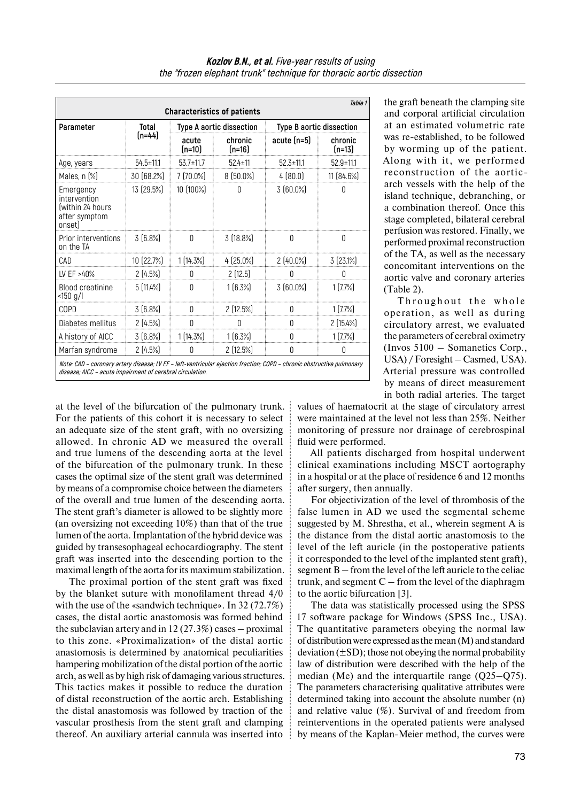| Table 1<br><b>Characteristics of patients</b>                                                                                                                                      |                 |                          |                     |                          |                     |  |
|------------------------------------------------------------------------------------------------------------------------------------------------------------------------------------|-----------------|--------------------------|---------------------|--------------------------|---------------------|--|
| Parameter                                                                                                                                                                          | Total<br>(n=44) | Type A aortic dissection |                     | Type B aortic dissection |                     |  |
|                                                                                                                                                                                    |                 | acute<br>(n=10)          | chronic<br>$[n=16]$ | $acute(n=5)$             | chronic<br>$[n=13]$ |  |
| Age, years                                                                                                                                                                         | $54.5 \pm 11.1$ | $53.7 \pm 11.7$          | $524 \pm 11$        | $52.3 \pm 11.1$          | $52.9 \pm 11.1$     |  |
| Males, n (%)                                                                                                                                                                       | 30 (68.2%)      | $7(70.0\%)$              | $8(50.0\%)$         | 4(80.0)                  | 11 (84.6%)          |  |
| Emergency<br>intervention<br>(within 24 hours<br>after symptom<br>onsetl                                                                                                           | 13 (29.5%)      | 10 (100%)                | Ŋ                   | $3(60.0\%)$              | Ŋ                   |  |
| Prior interventions<br>on the TA                                                                                                                                                   | $3(6.8\%)$      | 0                        | $3(18.8\%)$         | 0                        | 0                   |  |
| CAD                                                                                                                                                                                | 10 (22.7%)      | $1(14.3\%)$              | $4(25.0\%)$         | $2(40.0\%)$              | 3(23.1%)            |  |
| LV EF >40%                                                                                                                                                                         | $2(4.5\%)$      | Ŋ                        | 2(12.5)             | U                        |                     |  |
| <b>Blood creatinine</b><br><150 g/l                                                                                                                                                | $5(11.4\%)$     | $\Omega$                 | $1(6.3\%)$          | $3(60.0\%)$              | 1(7.7%)             |  |
| COPD                                                                                                                                                                               | $3(6.8\%)$      | Ŋ                        | $2(12.5\%)$         | Ŋ                        | 1(7.7%)             |  |
| Diabetes mellitus                                                                                                                                                                  | $2(4.5\%)$      | 0                        | 0                   | $\Omega$                 | 2(15.4%)            |  |
| A history of AICC                                                                                                                                                                  | $3(6.8\%)$      | $1(14.3\%)$              | $1(6.3\%)$          | U                        | 1(7.7%)             |  |
| Marfan syndrome                                                                                                                                                                    | 2(4.5%)         | Ŋ                        | 2(12.5%)            | U                        | N                   |  |
| Note: CAD - coronary artery disease; LV EF - left-ventricular ejection fraction; COPD - chronic obstructive pulmonary<br>disease; AICC - acute impairment of cerebral circulation. |                 |                          |                     |                          |                     |  |

at the level of the bifurcation of the pulmonary trunk. For the patients of this cohort it is necessary to select an adequate size of the stent graft, with no oversizing allowed. In chronic AD we measured the overall and true lumens of the descending aorta at the level of the bifurcation of the pulmonary trunk. In these cases the optimal size of the stent graft was determined by means of a compromise choice between the diameters of the overall and true lumen of the descending aorta. The stent graft's diameter is allowed to be slightly more (an oversizing not exceeding 10%) than that of the true lumen of the aorta. Implantation of the hybrid device was guided by transesophageal echocardiography. The stent graft was inserted into the descending portion to the maximal length of the aorta for its maximum stabilization.

The proximal portion of the stent graft was fixed by the blanket suture with monofilament thread 4/0 with the use of the «sandwich technique». In 32 (72.7%) cases, the distal aortic anastomosis was formed behind the subclavian artery and in 12 (27.3%) cases – proximal to this zone. «Proximalization» of the distal aortic anastomosis is determined by anatomical peculiarities hampering mobilization of the distal portion of the aortic arch, as well as by high risk of damaging various structures. This tactics makes it possible to reduce the duration of distal reconstruction of the aortic arch. Establishing the distal anastomosis was followed by traction of the vascular prosthesis from the stent graft and clamping thereof. An auxiliary arterial cannula was inserted into

the graft beneath the clamping site and corporal artificial circulation at an estimated volumetric rate was re-established, to be followed by worming up of the patient. Along with it, we performed reconstruction of the aorticarch vessels with the help of the island technique, debranching, or a combination thereof. Once this stage completed, bilateral cerebral perfusion was restored. Finally, we performed proximal reconstruction of the TA, as well as the necessary concomitant interventions on the aortic valve and coronary arteries (Table 2).

Throughout the whole operation, as well as during circulatory arrest, we evaluated the parameters of cerebral oximetry (Invos 5100 – Somanetics Corp., USA) / Foresight – Casmed, USA). Arterial pressure was controlled by means of direct measurement in both radial arteries. The target

values of haematocrit at the stage of circulatory arrest were maintained at the level not less than 25%. Neither monitoring of pressure nor drainage of cerebrospinal fluid were performed.

All patients discharged from hospital underwent clinical examinations including MSCT aortography in a hospital or at the place of residence 6 and 12 months after surgery, then annually.

For objectivization of the level of thrombosis of the false lumen in AD we used the segmental scheme suggested by M. Shrestha, et al., wherein segment A is the distance from the distal aortic anastomosis to the level of the left auricle (in the postoperative patients it corresponded to the level of the implanted stent graft), segment B – from the level of the left auricle to the celiac trunk, and segment  $C$  – from the level of the diaphragm to the aortic bifurcation [3].

The data was statistically processed using the SPSS 17 software package for Windows (SPSS Inc., USA). The quantitative parameters obeying the normal law of distribution were expressed as the mean  $(M)$  and standard deviation  $(\pm SD)$ ; those not obeying the normal probability law of distribution were described with the help of the median (Me) and the interquartile range (Q25–Q75). The parameters characterising qualitative attributes were determined taking into account the absolute number (n) and relative value (%). Survival of and freedom from reinterventions in the operated patients were analysed by means of the Kaplan-Meier method, the curves were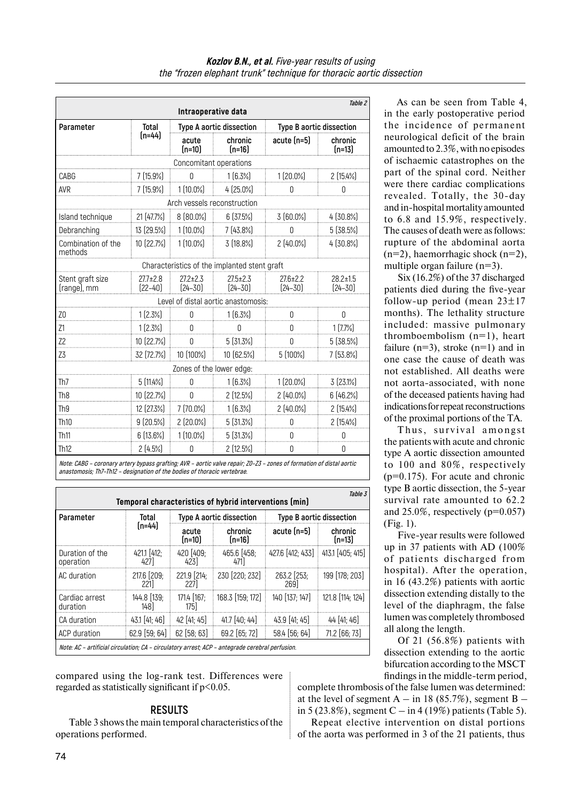|                                 |                               | Intraoperative data           |                                              |                               | Table 2                       |
|---------------------------------|-------------------------------|-------------------------------|----------------------------------------------|-------------------------------|-------------------------------|
| Parameter                       | Total<br>(n=44)               | Type A aortic dissection      |                                              | Type B aortic dissection      |                               |
|                                 |                               | acute<br>$[n=10]$             | chronic<br>$[n=16]$                          | $acute(n=5)$                  | chronic<br>$[n=13]$           |
|                                 |                               | Concomitant operations        |                                              |                               |                               |
| CABG                            | $7(15.9\%)$                   | 0                             | 1[6.3%]                                      | $1(20.0\%)$                   | 2[15.4%]                      |
| AVR                             | $7(15.9\%)$                   | $1(10.0\%)$                   | 4 (25.0%)                                    | Λ                             | N                             |
|                                 |                               |                               | Arch vessels reconstruction                  |                               |                               |
| Island technique                | 21 (47.7%)                    | 8 (80.0%)                     | 6(37.5%)                                     | 3[60.0%]                      | 4[30.8%]                      |
| Debranching                     | 13 (29.5%)                    | $1(10.0\%)$                   | 7[43.8%]                                     | Ŋ                             | 5 [38.5%]                     |
| Combination of the<br>methods   | 10 (22.7%)                    | $1(10.0\%)$                   | 3 [18.8%]                                    | 2[40.0%]                      | 4 [30.8%]                     |
|                                 |                               |                               | Characteristics of the implanted stent graft |                               |                               |
| Stent graft size<br>(range), mm | $27.7 \pm 2.8$<br>$[22 - 40]$ | $27.2 \pm 2.3$<br>$[24 - 30]$ | $27.5 \pm 2.3$<br>$[24 - 30]$                | $27.6 \pm 2.2$<br>$[24 - 30]$ | $28.2 \pm 1.5$<br>$[24 - 30]$ |
|                                 |                               |                               | Level of distal aortic anastomosis:          |                               |                               |
| ZO                              | $1(2.3\%)$                    | 0                             | $1(6.3\%)$                                   | $\Omega$                      | N                             |
| Z1                              | 1(2.3%)                       | 0                             | 0                                            | 0                             | 1(7.7%                        |
| Z <sub>2</sub>                  | 10 (22.7%)                    | 0                             | $5(31.3\%)$                                  | 0                             | 5 [38.5%]                     |
| Z3                              | 32 (72.7%)                    | 10 (100%)                     | 10 [62.5%]                                   | $5(100\%)$                    | $7(53.8\%)$                   |
|                                 |                               | Zones of the lower edge:      |                                              |                               |                               |
| Th7                             | 5(11.4%)                      | 0                             | 1[6.3%]                                      | $1(20.0\%)$                   | 3(23.1%)                      |
| Th <sub>8</sub>                 | 10 (22.7%)                    | 0                             | 2(12.5%)                                     | $2(40.0\%)$                   | 6(46.2%)                      |
| Th <sub>9</sub>                 | 12 (27.3%)                    | $7(70.0\%)$                   | $1(6.3\%)$                                   | $2(40.0\%)$                   | $2(15.4\%)$                   |
| Th <sub>10</sub>                | $9(20.5\%)$                   | $2(20.0\%)$                   | $5(31.3\%)$                                  | O                             | 2[15.4%]                      |
| Th <sub>11</sub>                | 6[13.6%]                      | $1(10.0\%)$                   | 5(31.3%)                                     | 0                             | 0                             |
| Th <sub>12</sub>                | 2(4.5%)                       | 0                             | 2[12.5%]                                     | 0                             | 0                             |

**Note: CABG – coronary artery bypass grafting; AVR – aortic valve repair; Z0–Z3 – zones of formation of distal aortic anastomosis; Th7–Th12 – designation of the bodies of thoracic vertebrae.** 

| Table 3<br>Temporal characteristics of hybrid interventions (min)                               |                        |                          |                     |                                   |                     |  |
|-------------------------------------------------------------------------------------------------|------------------------|--------------------------|---------------------|-----------------------------------|---------------------|--|
| Parameter                                                                                       | Total<br>$[n=44]$      | Type A aortic dissection |                     | Type B aortic dissection          |                     |  |
|                                                                                                 |                        | acute<br>$[n=10]$        | chronic<br>$[n=16]$ | acute (n=5)                       | chronic<br>$[n=13]$ |  |
| Duration of the<br>operation                                                                    | $421.1$ $[412;$<br>427 | 420 [409:<br>423         | 465.6 [458;<br>471  | 427.6 [412: 433] 413.1 [405: 415] |                     |  |
| AC duration                                                                                     | 217.6 [209;<br>221     | 221.9 214:<br><b>227</b> | 230 220: 232        | 263.2 253:<br>269                 | $199$ [178: 203]    |  |
| Cardiac arrest<br>duration                                                                      | 144.8 [139:<br>148]    | 171.4 [167:<br>175]      | 168.3 [159: 172]    | 140 [137; 147]                    | 121.8 [114: 124]    |  |
| CA duration                                                                                     | $43.1$ [41; 46]        | $42$ [41: 45]            | $41.7$ $[40:44]$    | $43.9$ [41: 45]                   | $44$ [41: 46]       |  |
| ACP duration                                                                                    | $62.9$ [59: 64]        | $62$ [58: 63]            | 69.2 [65; 72]       | $58.4$ [56: 64]                   | 71.2 [66: 73]       |  |
| Note: AC - artificial circulation; CA - circulatory arrest; ACP - antegrade cerebral perfusion. |                        |                          |                     |                                   |                     |  |

compared using the log-rank test. Differences were regarded as statistically significant if  $p<0.05$ .

# **RESULTS**

Table 3 shows the main temporal characteristics of the operations performed.

As can be seen from Table 4, in the early postoperative period the incidence of permanent neurological deficit of the brain amounted to 2.3%, with no episodes of ischaemic catastrophes on the part of the spinal cord. Neither were there cardiac complications revealed. Totally, the 30-day and in-hospital mortality amounted to 6.8 and 15.9%, respectively. The causes of death were as follows: rupture of the abdominal aorta  $(n=2)$ , haemorrhagic shock  $(n=2)$ , multiple organ failure (n=3).

Six (16.2%) of the 37 discharged patients died during the five-year follow-up period (mean  $23\pm17$ months). The lethality structure included: massive pulmonary thromboembolism  $(n=1)$ , heart failure  $(n=3)$ , stroke  $(n=1)$  and in one case the cause of death was not established. All deaths were not aorta-associated, with none of the deceased patients having had indications forrepeat reconstructions of the proximal portions of the TA.

Thus, survival amongst the patients with acute and chronic type A aortic dissection amounted to 100 and 80%, respectively (p=0.175). For acute and chronic type B aortic dissection, the 5-year survival rate amounted to 62.2 and  $25.0\%$ , respectively (p= $0.057$ ) (Fig. 1).

Five-year results were followed up in 37 patients with AD (100% of patients discharged from hospital). After the operation, in 16 (43.2%) patients with aortic dissection extending distally to the level of the diaphragm, the false lumen was completely thrombosed all along the length.

Of 21 (56.8%) patients with dissection extending to the aortic bifurcation according to the MSCT findings in the middle-term period,

complete thrombosis of the false lumen was determined: at the level of segment  $A - in 18 (85.7\%)$ , segment  $B$ in 5 (23.8%), segment  $C - in 4$  (19%) patients (Table 5).

Repeat elective intervention on distal portions of the aorta was performed in 3 of the 21 patients, thus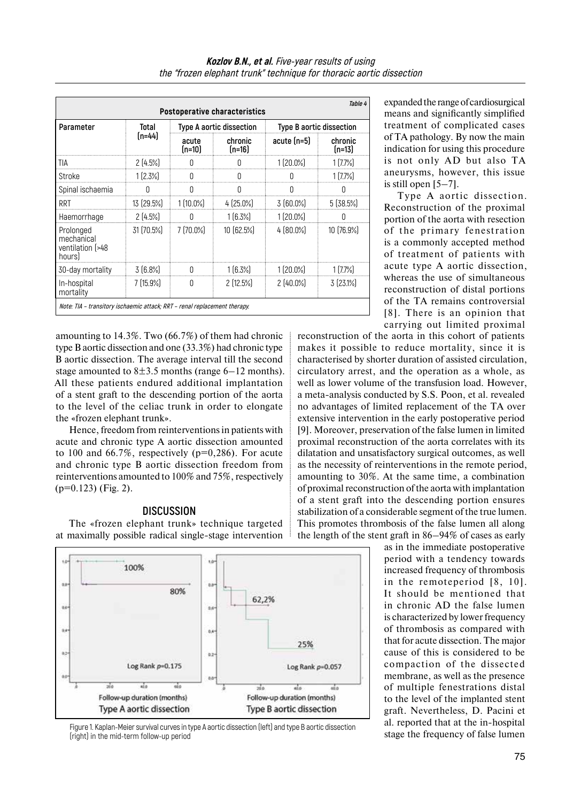| Table 4<br><b>Postoperative characteristics</b>                           |                 |                          |                     |                          |                   |  |
|---------------------------------------------------------------------------|-----------------|--------------------------|---------------------|--------------------------|-------------------|--|
| Parameter                                                                 | Total<br>(n=44) | Type A aortic dissection |                     | Type B aortic dissection |                   |  |
|                                                                           |                 | acute<br>(n=10)          | chronic<br>$[n=16]$ | $acute(n=5)$             | chronic<br>(n=13) |  |
| TIA                                                                       | 2[4.5%]         | N                        |                     | $1(20.0\%)$              | 1(7.7%)           |  |
| Stroke                                                                    | $1(2.3\%)$      | 0                        | U                   |                          | 1[7.7%]           |  |
| Spinal ischaemia                                                          | O               | Ŋ                        | 0                   | Ŋ                        |                   |  |
| RRT                                                                       | 13 (29.5%)      | $1(10.0\%)$              | $4(25.0\%)$         | $3(60.0\%)$              | 5(38.5%)          |  |
| Haemorrhage                                                               | $2(4.5\%)$      |                          | $1(6.3\%)$          | $1(20.0\%)$              |                   |  |
| Prolonged<br>mechanical<br>ventilation (>48<br>hours                      | 31 (70.5%)      | 7 (70.0%)                | 10(62.5%)           | $4 [80.0\%]$             | 10 (76.9%)        |  |
| 30-day mortality                                                          | $3(6.8\%)$      |                          | $1(6.3\%)$          | $1(20.0\%)$              | 1(7.7%)           |  |
| In-hospital<br>mortality                                                  | 7(15.9%         | 0                        | 2(12.5%)            | 2[40.0%]                 | 3(23.1%)          |  |
| Note: TIA - transitory ischaemic attack; RRT - renal replacement therapy. |                 |                          |                     |                          |                   |  |

amounting to 14.3%. Two (66.7%) of them had chronic type B aortic dissection and one (33.3%) had chronic type B aortic dissection. The average interval till the second stage amounted to  $8\pm3.5$  months (range 6–12 months). All these patients endured additional implantation of a stent graft to the descending portion of the aorta to the level of the celiac trunk in order to elongate the «frozen elephant trunk».

Hence, freedom from reinterventions in patients with acute and chronic type A aortic dissection amounted to 100 and 66.7%, respectively ( $p=0,286$ ). For acute and chronic type B aortic dissection freedom from reinterventions amounted to 100% and 75%, respectively (p=0.123) (Fig. 2).

# **DISCUSSION**

The «frozen elephant trunk» technique targeted at maximally possible radical single-stage intervention



Figure 1. Kaplan-Meier survival curves in type A aortic dissection (left) and type B aortic dissection (right) in the mid-term follow-up period

expanded the range of cardiosurgical means and significantly simplified treatment of complicated cases of TA pathology. By now the main indication for using this procedure is not only AD but also TA aneurysms, however, this issue is still open [5–7].

Type A aortic dissection. Reconstruction of the proximal portion of the aorta with resection of the primary fenestration is a commonly accepted method of treatment of patients with acute type A aortic dissection, whereas the use of simultaneous reconstruction of distal portions of the TA remains controversial [8]. There is an opinion that carrying out limited proximal

reconstruction of the aorta in this cohort of patients makes it possible to reduce mortality, since it is characterised by shorter duration of assisted circulation, circulatory arrest, and the operation as a whole, as well as lower volume of the transfusion load. However, a meta-analysis conducted by S.S. Poon, et al. revealed no advantages of limited replacement of the TA over extensive intervention in the early postoperative period [9]. Moreover, preservation of the false lumen in limited proximal reconstruction of the aorta correlates with its dilatation and unsatisfactory surgical outcomes, as well as the necessity of reinterventions in the remote period, amounting to 30%. At the same time, a combination of proximal reconstruction of the aorta with implantation of a stent graft into the descending portion ensures stabilization of a considerable segment of the true lumen. This promotes thrombosis of the false lumen all along the length of the stent graft in 86–94% of cases as early

as in the immediate postoperative period with a tendency towards increased frequency of thrombosis in the remoteperiod [8, 10]. It should be mentioned that in chronic AD the false lumen is characterized by lower frequency of thrombosis as compared with that for acute dissection. The major cause of this is considered to be compaction of the dissected membrane, as well as the presence of multiple fenestrations distal to the level of the implanted stent graft. Nevertheless, D. Pacini et al. reported that at the in-hospital stage the frequency of false lumen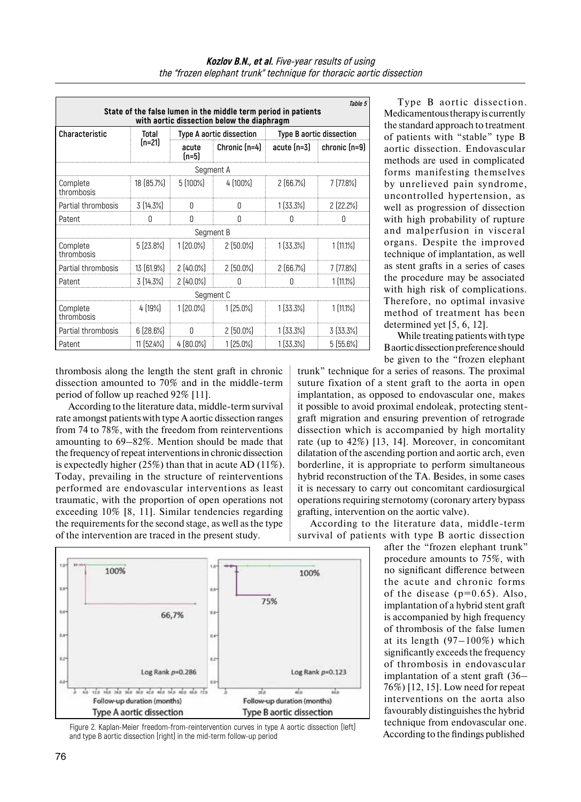|                                                                                                              |                 |                          |                 |                          | Table 5               |  |  |  |
|--------------------------------------------------------------------------------------------------------------|-----------------|--------------------------|-----------------|--------------------------|-----------------------|--|--|--|
| State of the false lumen in the middle term period in patients<br>with aortic dissection below the diaphragm |                 |                          |                 |                          |                       |  |  |  |
| Characteristic                                                                                               | Total<br>(n=21) | Type A aortic dissection |                 | Type B aortic dissection |                       |  |  |  |
|                                                                                                              |                 | acute<br>$[n=5]$         | Chronic $[n=4]$ | acute (n=3)              | $\vert$ chronic (n=9) |  |  |  |
|                                                                                                              |                 |                          | Segment A       |                          |                       |  |  |  |
| Complete<br>thrombosis                                                                                       | 18 (85.7%)      | 5 (100%)                 | 4 (100%)        | 2(66.7%)                 | 7[77.8%]              |  |  |  |
| Partial thrombosis                                                                                           | 3 (14.3%)       | 0                        | $\Box$          | $1(33.3\%)$              | $2$ (22.2%)           |  |  |  |
| Patent                                                                                                       | 0               | Ŋ                        | Ŋ               | 0                        | N                     |  |  |  |
| Segment B                                                                                                    |                 |                          |                 |                          |                       |  |  |  |
| Complete<br>thrombosis                                                                                       | $5(23.8\%)$     | $1(20.0\%)$              | 2[50.0%]        | 1[33.3%]                 | 1 [11.1%]             |  |  |  |
| Partial thrombosis                                                                                           | $13(61.9\%)$    | 2 (40.0%)                | 2 (50.0%)       | 2(66.7%)                 | 7 (77.8%)             |  |  |  |
| Patent                                                                                                       | 3 (14.3%)       | 2[40.0%]                 | U               | N                        | 1 [11.1%]             |  |  |  |
| Segment C                                                                                                    |                 |                          |                 |                          |                       |  |  |  |
| Complete<br>thrombosis                                                                                       | 4[19%]          | 1 (20.0%)                | $1(25.0\%)$     | 1[33.3%]                 | $1[11.1\%]$           |  |  |  |
| Partial thrombosis                                                                                           | $6(28.6\%)$     | 0                        | $2(50.0\%)$     | 1(33.3%)                 | 3[33.3%]              |  |  |  |
| Patent                                                                                                       | $11(52.4\%)$    | $4 [80.0\%]$             | $1(25.0\%)$     | 1[33.3%]                 | $5(55.6\%)$           |  |  |  |

thrombosis along the length the stent graft in chronic dissection amounted to 70% and in the middle-term period of follow up reached 92% [11].

According to the literature data, middle-term survival rate amongst patients with type A aortic dissection ranges from 74 to 78%, with the freedom from reinterventions amounting to 69–82%. Mention should be made that the frequency ofrepeat interventions in chronic dissection is expectedly higher (25%) than that in acute AD (11%). Today, prevailing in the structure of reinterventions performed are endovascular interventions as least traumatic, with the proportion of open operations not exceeding 10% [8, 11]. Similar tendencies regarding the requirements for the second stage, as well as the type of the intervention are traced in the present study.

Type B aortic dissection. Medicamentous therapy is currently the standard approach to treatment of patients with "stable" type B aortic dissection. Endovascular methods are used in complicated forms manifesting themselves by unrelieved pain syndrome, uncontrolled hypertension, as well as progression of dissection with high probability of rupture and malperfusion in visceral organs. Despite the improved technique of implantation, as well as stent grafts in a series of cases the procedure may be associated with high risk of complications. Therefore, no optimal invasive method of treatment has been determined yet [5, 6, 12].

While treating patients with type B aortic dissection preference should be given to the "frozen elephant

trunk" technique for a series of reasons. The proximal suture fixation of a stent graft to the aorta in open implantation, as opposed to endovascular one, makes it possible to avoid proximal endoleak, protecting stentgraft migration and ensuring prevention of retrograde dissection which is accompanied by high mortality rate (up to 42%) [13, 14]. Moreover, in concomitant dilatation of the ascending portion and aortic arch, even borderline, it is appropriate to perform simultaneous hybrid reconstruction of the TA. Besides, in some cases it is necessary to carry out concomitant cardiosurgical operations requiring sternotomy (coronary artery bypass grafting, intervention on the aortic valve).

According to the literature data, middle-term survival of patients with type B aortic dissection

> after the "frozen elephant trunk" procedure amounts to 75%, with no significant difference between the acute and chronic forms of the disease  $(p=0.65)$ . Also, implantation of a hybrid stent graft is accompanied by high frequency of thrombosis of the false lumen at its length (97–100%) which significantly exceeds the frequency of thrombosis in endovascular implantation of a stent graft (36– 76%) [12, 15]. Low need for repeat interventions on the aorta also favourably distinguishes the hybrid technique from endovascular one. According to the findings published



Figure 2. Kaplan-Meier freedom-from-reintervention curves in type A aortic dissection (left) and type B aortic dissection (right) in the mid-term follow-up period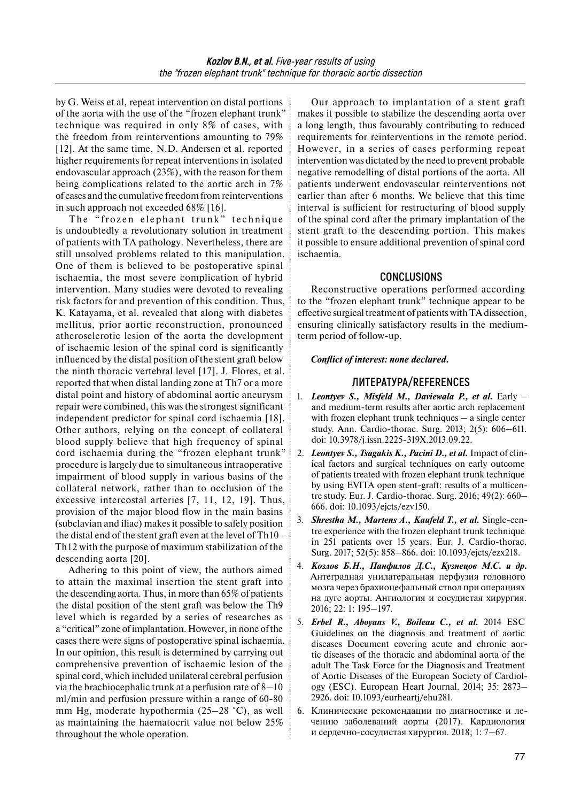by G. Weiss et al, repeat intervention on distal portions of the aorta with the use of the "frozen elephant trunk" technique was required in only 8% of cases, with the freedom from reinterventions amounting to 79% [12]. At the same time, N.D. Andersen et al. reported higher requirements for repeat interventions in isolated endovascular approach (23%), with the reason for them being complications related to the aortic arch in 7% of cases and the cumulative freedom from reinterventions in such approach not exceeded 68% [16].

The "frozen elephant trunk" technique is undoubtedly a revolutionary solution in treatment of patients with TA pathology. Nevertheless, there are still unsolved problems related to this manipulation. One of them is believed to be postoperative spinal ischaemia, the most severe complication of hybrid intervention. Many studies were devoted to revealing risk factors for and prevention of this condition. Thus, K. Katayama, et al. revealed that along with diabetes mellitus, prior aortic reconstruction, pronounced atherosclerotic lesion of the aorta the development of ischaemic lesion of the spinal cord is significantly influenced by the distal position of the stent graft below the ninth thoracic vertebral level [17]. J. Flores, et al. reported that when distal landing zone at Th7 or a more distal point and history of abdominal aortic aneurysm repair were combined, this was the strongest significant independent predictor for spinal cord ischaemia [18]. Other authors, relying on the concept of collateral blood supply believe that high frequency of spinal cord ischaemia during the "frozen elephant trunk" procedure is largely due to simultaneous intraoperative impairment of blood supply in various basins of the collateral network, rather than to occlusion of the excessive intercostal arteries [7, 11, 12, 19]. Thus, provision of the major blood flow in the main basins (subclavian and iliac) makes it possible to safely position the distal end of the stent graft even at the level of Th10– Th12 with the purpose of maximum stabilization of the descending aorta [20].

Adhering to this point of view, the authors aimed to attain the maximal insertion the stent graft into the descending aorta. Thus, in more than 65% of patients the distal position of the stent graft was below the Th9 level which is regarded by a series of researches as a "critical" zone of implantation. However, in none of the cases there were signs of postoperative spinal ischaemia. In our opinion, this result is determined by carrying out comprehensive prevention of ischaemic lesion of the spinal cord, which included unilateral cerebral perfusion via the brachiocephalic trunk at a perfusion rate of 8–10 ml/min and perfusion pressure within a range of 60-80 mm Hg, moderate hypothermia (25–28 °C), as well as maintaining the haematocrit value not below 25% throughout the whole operation.

Our approach to implantation of a stent graft makes it possible to stabilize the descending aorta over a long length, thus favourably contributing to reduced requirements for reinterventions in the remote period. However, in a series of cases performing repeat intervention was dictated by the need to prevent probable negative remodelling of distal portions of the aorta. All patients underwent endovascular reinterventions not earlier than after 6 months. We believe that this time interval is sufficient for restructuring of blood supply of the spinal cord after the primary implantation of the stent graft to the descending portion. This makes it possible to ensure additional prevention of spinal cord ischaemia.

# **CONCLUSIONS**

Reconstructive operations performed according to the "frozen elephant trunk" technique appear to be effective surgical treatment of patients with TA dissection, ensuring clinically satisfactory results in the mediumterm period of follow-up.

#### *Conflict of interest: none declared.*

### **ЛИТЕРАТУРА/REFERENCES**

- 1. *Leontyev S., Misfeld M., Daviewala P., et al.* Early and medium-term results after aortic arch replacement with frozen elephant trunk techniques – a single center study. Ann. Cardio-thorac. Surg. 2013; 2(5): 606–611. doi: 10.3978/j.issn.2225-319X.2013.09.22.
- 2. *Leontyev S., Tsagakis K., Pacini D., et al. Impact of clin*ical factors and surgical techniques on early outcome of patients treated with frozen elephant trunk technique by using EVITA open stent-graft: results of a multicentre study. Eur. J. Cardio-thorac. Surg. 2016; 49(2): 660– 666. doi: 10.1093/ejcts/ezv150.
- 3. *Shrestha M., Martens A., Kaufeld T., et al.* Single-centre experience with the frozen elephant trunk technique in 251 patients over 15 years. Eur. J. Cardio-thorac. Surg. 2017; 52(5): 858–866. doi: 10.1093/ejcts/ezx218.
- 4. *Козлов Б.Н., Панфилов Д.С., Кузнецов М.С. и др.* Антеградная унилатеральная перфузия головного мозга через брахиоцефальный ствол при операциях на дуге аорты. Ангиология и сосудистая хирургия. 2016; 22: 1: 195–197.
- 5. *Erbel R., Aboyans V., Boileau C., et al.* 2014 ESC Guidelines on the diagnosis and treatment of aortic diseases Document covering acute and chronic aortic diseases of the thoracic and abdominal aorta of the adult The Task Force for the Diagnosis and Treatment of Aortic Diseases of the European Society of Cardiology (ESC). European Heart Journal. 2014; 35: 2873– 2926. doi: 10.1093/eurheartj/ehu281.
- 6. Клинические рекомендации по диагностике и лечению заболеваний аорты (2017). Кардиология и сердечно-сосудистая хирургия. 2018; 1: 7–67.